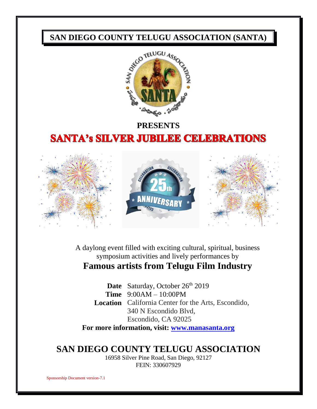

# **PRESENTS SANTA's SILVER JUBILEE CELEBRATIONS**



A daylong event filled with exciting cultural, spiritual, business symposium activities and lively performances by **Famous artists from Telugu Film Industry**

Date Saturday, October 26<sup>th</sup> 2019 **Time** 9:00AM – 10:00PM **Location** California Center for the Arts, Escondido, 340 N Escondido Blvd, Escondido, CA 92025

**For more information, visit: [www.manasanta.org](http://www.manasanta.org/)**

## **SAN DIEGO COUNTY TELUGU ASSOCIATION**

16958 Silver Pine Road, San Diego, 92127 FEIN: 330607929

Sponsorship Document version-7.1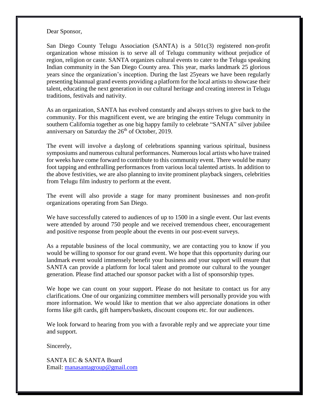Dear Sponsor,

San Diego County Telugu Association (SANTA) is a 501c(3) registered non-profit organization whose mission is to serve all of Telugu community without prejudice of region, religion or caste. SANTA organizes cultural events to cater to the Telugu speaking Indian community in the San Diego County area. This year, marks landmark 25 glorious years since the organization's inception. During the last 25years we have been regularly presenting biannual grand events providing a platform for the local artists to showcase their talent, educating the next generation in our cultural heritage and creating interest in Telugu traditions, festivals and nativity.

As an organization, SANTA has evolved constantly and always strives to give back to the community. For this magnificent event, we are bringing the entire Telugu community in southern California together as one big happy family to celebrate "SANTA" silver jubilee anniversary on Saturday the  $26<sup>th</sup>$  of October, 2019.

The event will involve a daylong of celebrations spanning various spiritual, business symposiums and numerous cultural performances. Numerous local artists who have trained for weeks have come forward to contribute to this community event. There would be many foot tapping and enthralling performances from various local talented artists. In addition to the above festivities, we are also planning to invite prominent playback singers, celebrities from Telugu film industry to perform at the event.

The event will also provide a stage for many prominent businesses and non-profit organizations operating from San Diego.

We have successfully catered to audiences of up to 1500 in a single event. Our last events were attended by around 750 people and we received tremendous cheer, encouragement and positive response from people about the events in our post-event surveys.

As a reputable business of the local community, we are contacting you to know if you would be willing to sponsor for our grand event. We hope that this opportunity during our landmark event would immensely benefit your business and your support will ensure that SANTA can provide a platform for local talent and promote our cultural to the younger generation. Please find attached our sponsor packet with a list of sponsorship types.

We hope we can count on your support. Please do not hesitate to contact us for any clarifications. One of our organizing committee members will personally provide you with more information. We would like to mention that we also appreciate donations in other forms like gift cards, gift hampers/baskets, discount coupons etc. for our audiences.

We look forward to hearing from you with a favorable reply and we appreciate your time and support.

Sincerely,

SANTA EC & SANTA Board Email: [manasantagroup@gmail.com](mailto:manasantagroup@gmail.com)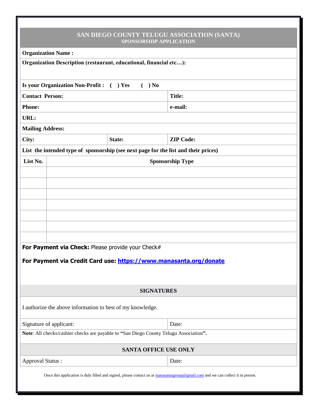| SAN DIEGO COUNTY TELUGU ASSOCIATION (SANTA)<br><b>SPONSORSHIP APPLICATION</b>                                                   |                                                                                       |                         |  |  |
|---------------------------------------------------------------------------------------------------------------------------------|---------------------------------------------------------------------------------------|-------------------------|--|--|
| <b>Organization Name:</b>                                                                                                       |                                                                                       |                         |  |  |
| Organization Description (restaurant, educational, financial etc):                                                              |                                                                                       |                         |  |  |
| Is your Organization Non-Profit : ( ) Yes<br>$( )$ No                                                                           |                                                                                       |                         |  |  |
| <b>Contact Person:</b>                                                                                                          |                                                                                       | <b>Title:</b>           |  |  |
| <b>Phone:</b>                                                                                                                   |                                                                                       | e-mail:                 |  |  |
| URL:                                                                                                                            |                                                                                       |                         |  |  |
| <b>Mailing Address:</b>                                                                                                         |                                                                                       |                         |  |  |
| City:                                                                                                                           | State:                                                                                | <b>ZIP Code:</b>        |  |  |
| List the intended type of sponsorship (see next page for the list and their prices)                                             |                                                                                       |                         |  |  |
| List No.                                                                                                                        |                                                                                       | <b>Sponsorship Type</b> |  |  |
|                                                                                                                                 |                                                                                       |                         |  |  |
|                                                                                                                                 |                                                                                       |                         |  |  |
|                                                                                                                                 |                                                                                       |                         |  |  |
|                                                                                                                                 |                                                                                       |                         |  |  |
|                                                                                                                                 |                                                                                       |                         |  |  |
|                                                                                                                                 |                                                                                       |                         |  |  |
|                                                                                                                                 |                                                                                       |                         |  |  |
|                                                                                                                                 | For Payment via Check: Please provide your Check#                                     |                         |  |  |
| For Payment via Credit Card use: https://www.manasanta.org/donate                                                               |                                                                                       |                         |  |  |
|                                                                                                                                 |                                                                                       |                         |  |  |
|                                                                                                                                 |                                                                                       |                         |  |  |
|                                                                                                                                 |                                                                                       | <b>SIGNATURES</b>       |  |  |
|                                                                                                                                 | I authorize the above information to best of my knowledge.                            |                         |  |  |
| Signature of applicant:                                                                                                         |                                                                                       | Date:                   |  |  |
|                                                                                                                                 | Note: All checks/cashier checks are payable to "San Diego County Telugu Association". |                         |  |  |
| <b>SANTA OFFICE USE ONLY</b>                                                                                                    |                                                                                       |                         |  |  |
| <b>Approval Status:</b>                                                                                                         |                                                                                       | Date:                   |  |  |
| Once this application is duly filled and signed, please contact us at manasantagroup@gmail.com and we can collect it in person. |                                                                                       |                         |  |  |